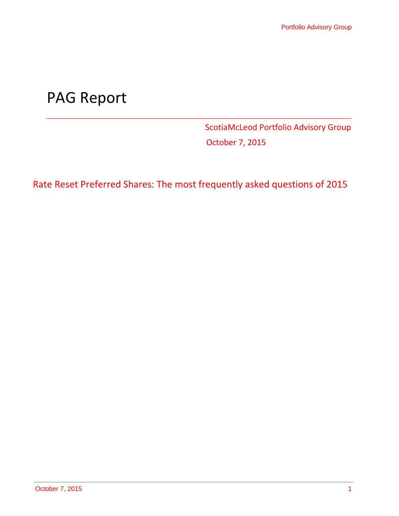# PAG Report

ScotiaMcLeod Portfolio Advisory Group October 7, 2015

Rate Reset Preferred Shares: The most frequently asked questions of 2015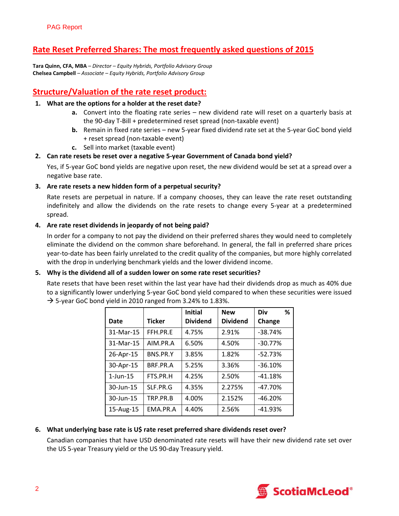# **Rate Reset Preferred Shares: The most frequently asked questions of 2015**

**Tara Quinn, CFA, MBA** *– Director – Equity Hybrids, Portfolio Advisory Group* **Chelsea Campbell** *– Associate – Equity Hybrids, Portfolio Advisory Group*

# **Structure/Valuation of the rate reset product:**

#### **1. What are the options for a holder at the reset date?**

- **a.** Convert into the floating rate series new dividend rate will reset on a quarterly basis at the 90‐day T‐Bill + predetermined reset spread (non‐taxable event)
- **b.** Remain in fixed rate series new 5‐year fixed dividend rate set at the 5‐year GoC bond yield + reset spread (non‐taxable event)
- **c.** Sell into market (taxable event)

## **2. Can rate resets be reset over a negative 5‐year Government of Canada bond yield?**

Yes, if 5‐year GoC bond yields are negative upon reset, the new dividend would be set at a spread over a negative base rate.

## **3. Are rate resets a new hidden form of a perpetual security?**

Rate resets are perpetual in nature. If a company chooses, they can leave the rate reset outstanding indefinitely and allow the dividends on the rate resets to change every 5‐year at a predetermined spread.

#### **4. Are rate reset dividends in jeopardy of not being paid?**

In order for a company to not pay the dividend on their preferred shares they would need to completely eliminate the dividend on the common share beforehand. In general, the fall in preferred share prices year-to-date has been fairly unrelated to the credit quality of the companies, but more highly correlated with the drop in underlying benchmark yields and the lower dividend income.

#### **5. Why is the dividend all of a sudden lower on some rate reset securities?**

Rate resets that have been reset within the last year have had their dividends drop as much as 40% due to a significantly lower underlying 5‐year GoC bond yield compared to when these securities were issued  $\rightarrow$  5-year GoC bond yield in 2010 ranged from 3.24% to 1.83%.

|                |               | <b>Initial</b>  | <b>New</b>      | Div<br>%  |
|----------------|---------------|-----------------|-----------------|-----------|
| Date           | <b>Ticker</b> | <b>Dividend</b> | <b>Dividend</b> | Change    |
| 31-Mar-15      | FFH.PR.F      | 4.75%           | 2.91%           | $-38.74%$ |
| 31-Mar-15      | AIM.PR.A      | 6.50%           | 4.50%           | $-30.77%$ |
| 26-Apr-15      | BNS.PR.Y      | 3.85%           | 1.82%           | $-52.73%$ |
| 30-Apr-15      | BRF.PR.A      | 5.25%           | 3.36%           | $-36.10%$ |
| $1$ -Jun- $15$ | FTS.PR.H      | 4.25%           | 2.50%           | $-41.18%$ |
| 30-Jun-15      | SLF.PR.G      | 4.35%           | 2.275%          | $-47.70%$ |
| 30-Jun-15      | TRP.PR.B      | 4.00%           | 2.152%          | $-46.20%$ |
| 15-Aug-15      | FMA.PR.A      | 4.40%           | 2.56%           | $-41.93%$ |

## **6. What underlying base rate is U\$ rate reset preferred share dividends reset over?**

Canadian companies that have USD denominated rate resets will have their new dividend rate set over the US 5‐year Treasury yield or the US 90‐day Treasury yield.

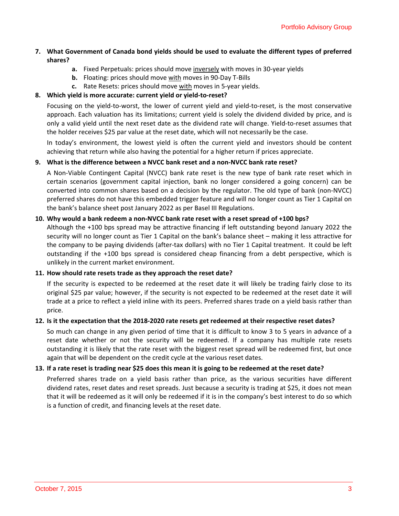## **7. What Government of Canada bond yields should be used to evaluate the different types of preferred shares?**

- **a.** Fixed Perpetuals: prices should move inversely with moves in 30‐year yields
- **b.** Floating: prices should move with moves in 90‐Day T‐Bills
- **c.** Rate Resets: prices should move with moves in 5‐year yields.

#### **8. Which yield is more accurate: current yield or yield‐to‐reset?**

Focusing on the yield‐to‐worst, the lower of current yield and yield‐to‐reset, is the most conservative approach. Each valuation has its limitations; current yield is solely the dividend divided by price, and is only a valid yield until the next reset date as the dividend rate will change. Yield‐to‐reset assumes that the holder receives \$25 par value at the reset date, which will not necessarily be the case.

In today's environment, the lowest yield is often the current yield and investors should be content achieving that return while also having the potential for a higher return if prices appreciate.

#### **9. What is the difference between a NVCC bank reset and a non‐NVCC bank rate reset?**

A Non‐Viable Contingent Capital (NVCC) bank rate reset is the new type of bank rate reset which in certain scenarios (government capital injection, bank no longer considered a going concern) can be converted into common shares based on a decision by the regulator. The old type of bank (non‐NVCC) preferred shares do not have this embedded trigger feature and will no longer count as Tier 1 Capital on the bank's balance sheet post January 2022 as per Basel III Regulations.

#### 10. Why would a bank redeem a non-NVCC bank rate reset with a reset spread of +100 bps?

Although the +100 bps spread may be attractive financing if left outstanding beyond January 2022 the security will no longer count as Tier 1 Capital on the bank's balance sheet – making it less attractive for the company to be paying dividends (after‐tax dollars) with no Tier 1 Capital treatment. It could be left outstanding if the +100 bps spread is considered cheap financing from a debt perspective, which is unlikely in the current market environment.

#### **11. How should rate resets trade as they approach the reset date?**

If the security is expected to be redeemed at the reset date it will likely be trading fairly close to its original \$25 par value; however, if the security is not expected to be redeemed at the reset date it will trade at a price to reflect a yield inline with its peers. Preferred shares trade on a yield basis rather than price.

#### 12. Is it the expectation that the 2018-2020 rate resets get redeemed at their respective reset dates?

So much can change in any given period of time that it is difficult to know 3 to 5 years in advance of a reset date whether or not the security will be redeemed. If a company has multiple rate resets outstanding it is likely that the rate reset with the biggest reset spread will be redeemed first, but once again that will be dependent on the credit cycle at the various reset dates.

#### 13. If a rate reset is trading near \$25 does this mean it is going to be redeemed at the reset date?

Preferred shares trade on a yield basis rather than price, as the various securities have different dividend rates, reset dates and reset spreads. Just because a security is trading at \$25, it does not mean that it will be redeemed as it will only be redeemed if it is in the company's best interest to do so which is a function of credit, and financing levels at the reset date.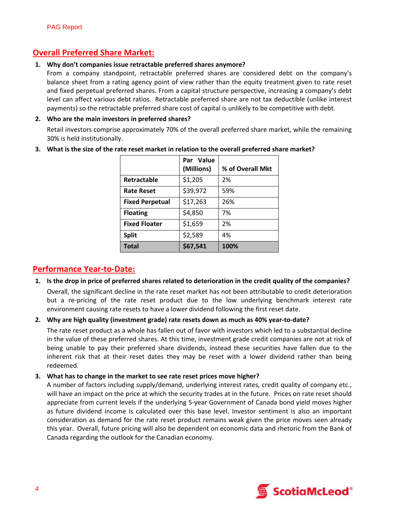# **Overall Preferred Share Market:**

#### **1. Why don't companies issue retractable preferred shares anymore?**

From a company standpoint, retractable preferred shares are considered debt on the company's balance sheet from a rating agency point of view rather than the equity treatment given to rate reset and fixed perpetual preferred shares. From a capital structure perspective, increasing a company's debt level can affect various debt ratios. Retractable preferred share are not tax deductible (unlike interest payments) so the retractable preferred share cost of capital is unlikely to be competitive with debt.

#### **2. Who are the main investors in preferred shares?**

Retail investors comprise approximately 70% of the overall preferred share market, while the remaining 30% is held institutionally.

|                        | Par Value<br>(Millions) | % of Overall Mkt |
|------------------------|-------------------------|------------------|
| Retractable            | \$1,205                 | 2%               |
| <b>Rate Reset</b>      | \$39,972                | 59%              |
| <b>Fixed Perpetual</b> | \$17,263                | 26%              |
| <b>Floating</b>        | \$4,850                 | 7%               |
| <b>Fixed Floater</b>   | \$1,659                 | 2%               |
| <b>Split</b>           | \$2,589                 | 4%               |
| <b>Total</b>           | \$67,541                | 100%             |

**3. What is the size of the rate reset market in relation to the overall preferred share market?**

## **Performance Year‐to‐Date:**

1. Is the drop in price of preferred shares related to deterioration in the credit quality of the companies?

Overall, the significant decline in the rate reset market has not been attributable to credit deterioration but a re-pricing of the rate reset product due to the low underlying benchmark interest rate environment causing rate resets to have a lower dividend following the first reset date.

## **2. Why are high quality (investment grade) rate resets down as much as 40% year‐to‐date?**

The rate reset product as a whole has fallen out of favor with investors which led to a substantial decline in the value of these preferred shares. At this time, investment grade credit companies are not at risk of being unable to pay their preferred share dividends, instead these securities have fallen due to the inherent risk that at their reset dates they may be reset with a lower dividend rather than being redeemed.

#### **3. What has to change in the market to see rate reset prices move higher?**

A number of factors including supply/demand, underlying interest rates, credit quality of company etc., will have an impact on the price at which the security trades at in the future. Prices on rate reset should appreciate from current levels if the underlying 5‐year Government of Canada bond yield moves higher as future dividend income is calculated over this base level. Investor sentiment is also an important consideration as demand for the rate reset product remains weak given the price moves seen already this year. Overall, future pricing will also be dependent on economic data and rhetoric from the Bank of Canada regarding the outlook for the Canadian economy.

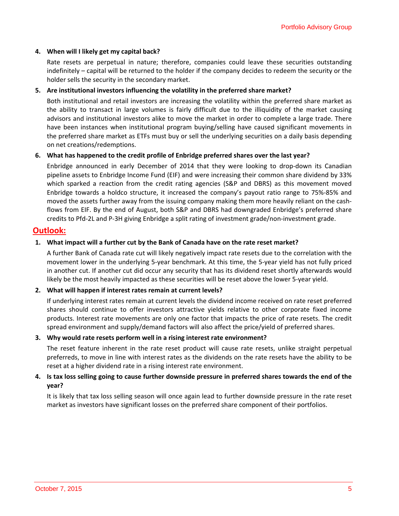#### **4. When will I likely get my capital back?**

Rate resets are perpetual in nature; therefore, companies could leave these securities outstanding indefinitely – capital will be returned to the holder if the company decides to redeem the security or the holder sells the security in the secondary market.

#### **5. Are institutional investors influencing the volatility in the preferred share market?**

Both institutional and retail investors are increasing the volatility within the preferred share market as the ability to transact in large volumes is fairly difficult due to the illiquidity of the market causing advisors and institutional investors alike to move the market in order to complete a large trade. There have been instances when institutional program buying/selling have caused significant movements in the preferred share market as ETFs must buy or sell the underlying securities on a daily basis depending on net creations/redemptions.

#### **6. What has happened to the credit profile of Enbridge preferred shares over the last year?**

Enbridge announced in early December of 2014 that they were looking to drop‐down its Canadian pipeline assets to Enbridge Income Fund (EIF) and were increasing their common share dividend by 33% which sparked a reaction from the credit rating agencies (S&P and DBRS) as this movement moved Enbridge towards a holdco structure, it increased the company's payout ratio range to 75%‐85% and moved the assets further away from the issuing company making them more heavily reliant on the cashflows from EIF. By the end of August, both S&P and DBRS had downgraded Enbridge's preferred share credits to Pfd‐2L and P‐3H giving Enbridge a split rating of investment grade/non‐investment grade.

## **Outlook:**

## **1. What impact will a further cut by the Bank of Canada have on the rate reset market?**

A further Bank of Canada rate cut will likely negatively impact rate resets due to the correlation with the movement lower in the underlying 5‐year benchmark. At this time, the 5‐year yield has not fully priced in another cut. If another cut did occur any security that has its dividend reset shortly afterwards would likely be the most heavily impacted as these securities will be reset above the lower 5‐year yield.

#### **2. What will happen if interest rates remain at current levels?**

If underlying interest rates remain at current levels the dividend income received on rate reset preferred shares should continue to offer investors attractive yields relative to other corporate fixed income products. Interest rate movements are only one factor that impacts the price of rate resets. The credit spread environment and supply/demand factors will also affect the price/yield of preferred shares.

#### **3. Why would rate resets perform well in a rising interest rate environment?**

The reset feature inherent in the rate reset product will cause rate resets, unlike straight perpetual preferreds, to move in line with interest rates as the dividends on the rate resets have the ability to be reset at a higher dividend rate in a rising interest rate environment.

#### 4. Is tax loss selling going to cause further downside pressure in preferred shares towards the end of the **year?**

It is likely that tax loss selling season will once again lead to further downside pressure in the rate reset market as investors have significant losses on the preferred share component of their portfolios.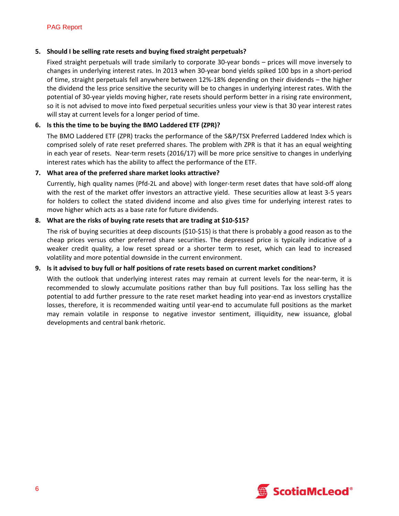#### **5. Should I be selling rate resets and buying fixed straight perpetuals?**

Fixed straight perpetuals will trade similarly to corporate 30‐year bonds – prices will move inversely to changes in underlying interest rates. In 2013 when 30‐year bond yields spiked 100 bps in a short‐period of time, straight perpetuals fell anywhere between 12%‐18% depending on their dividends – the higher the dividend the less price sensitive the security will be to changes in underlying interest rates. With the potential of 30‐year yields moving higher, rate resets should perform better in a rising rate environment, so it is not advised to move into fixed perpetual securities unless your view is that 30 year interest rates will stay at current levels for a longer period of time.

## **6. Is this the time to be buying the BMO Laddered ETF (ZPR)?**

The BMO Laddered ETF (ZPR) tracks the performance of the S&P/TSX Preferred Laddered Index which is comprised solely of rate reset preferred shares. The problem with ZPR is that it has an equal weighting in each year of resets. Near-term resets (2016/17) will be more price sensitive to changes in underlying interest rates which has the ability to affect the performance of the ETF.

#### **7. What area of the preferred share market looks attractive?**

Currently, high quality names (Pfd‐2L and above) with longer‐term reset dates that have sold‐off along with the rest of the market offer investors an attractive yield. These securities allow at least 3‐5 years for holders to collect the stated dividend income and also gives time for underlying interest rates to move higher which acts as a base rate for future dividends.

## **8. What are the risks of buying rate resets that are trading at \$10‐\$15?**

The risk of buying securities at deep discounts (\$10-\$15) is that there is probably a good reason as to the cheap prices versus other preferred share securities. The depressed price is typically indicative of a weaker credit quality, a low reset spread or a shorter term to reset, which can lead to increased volatility and more potential downside in the current environment.

## **9. Is it advised to buy full or half positions of rate resets based on current market conditions?**

With the outlook that underlying interest rates may remain at current levels for the near-term, it is recommended to slowly accumulate positions rather than buy full positions. Tax loss selling has the potential to add further pressure to the rate reset market heading into year-end as investors crystallize losses, therefore, it is recommended waiting until year-end to accumulate full positions as the market may remain volatile in response to negative investor sentiment, illiquidity, new issuance, global developments and central bank rhetoric.

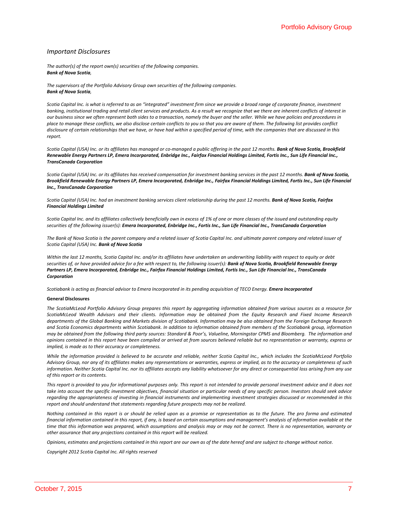#### *Important Disclosures*

*The author(s) of the report own(s) securities of the following companies. Bank of Nova Scotia,* 

*The supervisors of the Portfolio Advisory Group own securities of the following companies. Bank of Nova Scotia,*

Scotia Capital Inc. is what is referred to as an "integrated" investment firm since we provide a broad range of corporate finance, investment banking, institutional trading and retail client services and products. As a result we recognize that we there are inherent conflicts of interest in our business since we often represent both sides to a transaction, namely the buyer and the seller. While we have policies and procedures in place to manage these conflicts, we also disclose certain conflicts to you so that you are aware of them. The following list provides conflict disclosure of certain relationships that we have, or have had within a specified period of time, with the companies that are discussed in this *report.* 

Scotia Capital (USA) Inc. or its affiliates has managed or co-managed a public offering in the past 12 months. Bank of Nova Scotia, Brookfield Renewable Energy Partners LP, Emera Incorporated, Enbridge Inc., Fairfax Financial Holdings Limited, Fortis Inc., Sun Life Financial Inc., *TransCanada Corporation*

Scotia Capital (USA) Inc. or its affiliates has received compensation for investment banking services in the past 12 months. Bank of Nova Scotia, Brookfield Renewable Energy Partners LP, Emera Incorporated, Enbridge Inc., Fairfax Financial Holdings Limited, Fortis Inc., Sun Life Financial *Inc., TransCanada Corporation*

Scotia Capital (USA) Inc. had an investment banking services client relationship during the past 12 months. Bank of Nova Scotia, Fairfax *Financial Holdings Limited*

Scotia Capital Inc. and its affiliates collectively beneficially own in excess of 1% of one or more classes of the issued and outstanding equity securities of the following issuer(s): Emera Incorporated, Enbridge Inc., Fortis Inc., Sun Life Financial Inc., TransCanada Corporation

The Bank of Nova Scotia is the parent company and a related issuer of Scotia Capital Inc. and ultimate parent company and related issuer of *Scotia Capital (USA) Inc. Bank of Nova Scotia*

Within the last 12 months, Scotia Capital Inc. and/or its affiliates have undertaken an underwriting liability with respect to equity or debt securities of, or have provided advice for a fee with respect to, the following issuer(s): Bank of Nova Scotia, Brookfield Renewable Energy Partners LP, Emera Incorporated, Enbridge Inc., Fairfax Financial Holdings Limited, Fortis Inc., Sun Life Financial Inc., TransCanada *Corporation*

Scotiabank is acting as financial advisor to Emera Incorporated in its pending acquisition of TECO Energy. Emera Incorporated

#### **General Disclosures**

The ScotiaMcLeod Portfolio Advisory Group prepares this report by aggregating information obtained from various sources as a resource for ScotiaMcLeod Wealth Advisors and their clients. Information may be obtained from the Equity Research and Fixed Income Research departments of the Global Banking and Markets division of Scotiabank. Information may be also obtained from the Foreign Exchange Research and Scotia Economics departments within Scotiabank. In addition to information obtained from members of the Scotiabank group, information may be obtained from the following third party sources: Standard & Poor's, Valueline, Morningstar CPMS and Bloomberg. The information and opinions contained in this report have been compiled or arrived at from sources believed reliable but no representation or warranty, express or *implied, is made as to their accuracy or completeness.* 

While the information provided is believed to be accurate and reliable, neither Scotia Capital Inc., which includes the ScotiaMcLeod Portfolio Advisory Group, nor any of its affiliates makes any representations or warranties, express or implied, as to the accuracy or completeness of such information. Neither Scotia Capital Inc. nor its affiliates accepts any liability whatsoever for any direct or consequential loss arising from any use *of this report or its contents.* 

This report is provided to you for informational purposes only. This report is not intended to provide personal investment advice and it does not take into account the specific investment objectives, financial situation or particular needs of any specific person. Investors should seek advice regarding the appropriateness of investing in financial instruments and implementing investment strategies discussed or recommended in this *report and should understand that statements regarding future prospects may not be realized.* 

Nothing contained in this report is or should be relied upon as a promise or representation as to the future. The pro forma and estimated financial information contained in this report, if any, is based on certain assumptions and management's analysis of information available at the time that this information was prepared, which assumptions and analysis may or may not be correct. There is no representation, warranty or *other assurance that any projections contained in this report will be realized.* 

Opinions, estimates and projections contained in this report are our own as of the date hereof and are subject to change without notice.

*Copyright 2012 Scotia Capital Inc. All rights reserved*